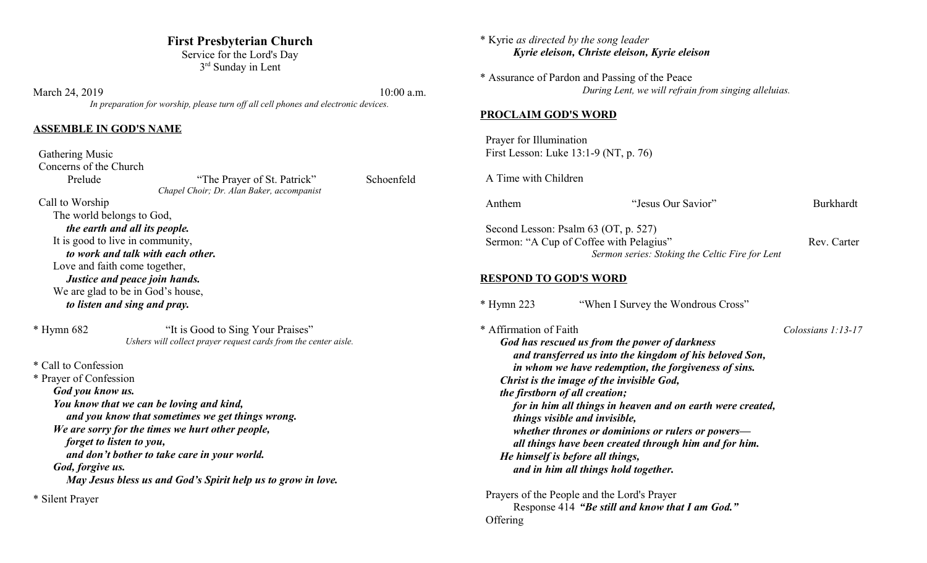## **First Presbyterian Church**

Service for the Lord's Day 3<sup>rd</sup> Sunday in Lent

March 24, 2019 10:00 a.m. *In preparation for worship, please turn off all cell phones and electronic devices.*

## **ASSEMBLE IN GOD'S NAME**

 Gathering Music Concerns of the Church Prelude "The Prayer of St. Patrick" Schoenfeld *Chapel Choir; Dr. Alan Baker, accompanist* Call to Worship The world belongs to God,

*the earth and all its people.* It is good to live in community, *to work and talk with each other.* Love and faith come together, *Justice and peace join hands.* We are glad to be in God's house, *to listen and sing and pray.*

\* Hymn 682 "It is Good to Sing Your Praises" *Ushers will collect prayer request cards from the center aisle.*

\* Call to Confession

\* Prayer of Confession *God you know us. You know that we can be loving and kind, and you know that sometimes we get things wrong. We are sorry for the times we hurt other people, forget to listen to you, and don't bother to take care in your world. God, forgive us. May Jesus bless us and God's Spirit help us to grow in love.*

\* Silent Prayer

| * Kyrie as directed by the song leader                   | Kyrie eleison, Christe eleison, Kyrie eleison                                                                                                                                                                                                                                                                                                                                                                              |                    |
|----------------------------------------------------------|----------------------------------------------------------------------------------------------------------------------------------------------------------------------------------------------------------------------------------------------------------------------------------------------------------------------------------------------------------------------------------------------------------------------------|--------------------|
|                                                          | * Assurance of Pardon and Passing of the Peace<br>During Lent, we will refrain from singing alleluias.                                                                                                                                                                                                                                                                                                                     |                    |
| <b>PROCLAIM GOD'S WORD</b>                               |                                                                                                                                                                                                                                                                                                                                                                                                                            |                    |
| Prayer for Illumination                                  | First Lesson: Luke 13:1-9 (NT, p. 76)                                                                                                                                                                                                                                                                                                                                                                                      |                    |
| A Time with Children                                     |                                                                                                                                                                                                                                                                                                                                                                                                                            |                    |
| Anthem                                                   | "Jesus Our Savior"                                                                                                                                                                                                                                                                                                                                                                                                         | <b>Burkhardt</b>   |
|                                                          | Second Lesson: Psalm 63 (OT, p. 527)<br>Sermon: "A Cup of Coffee with Pelagius"<br>Sermon series: Stoking the Celtic Fire for Lent                                                                                                                                                                                                                                                                                         | Rev. Carter        |
| <b>RESPOND TO GOD'S WORD</b>                             |                                                                                                                                                                                                                                                                                                                                                                                                                            |                    |
| $*$ Hymn 223                                             | "When I Survey the Wondrous Cross"                                                                                                                                                                                                                                                                                                                                                                                         |                    |
| * Affirmation of Faith<br>the firstborn of all creation; | God has rescued us from the power of darkness<br>and transferred us into the kingdom of his beloved Son,<br>in whom we have redemption, the forgiveness of sins.<br>Christ is the image of the invisible God,<br>for in him all things in heaven and on earth were created,<br>things visible and invisible,<br>whether thrones or dominions or rulers or powers-<br>all things have been created through him and for him. | Colossians 1:13-17 |

*He himself is before all things, and in him all things hold together.*

 Prayers of the People and the Lord's Prayer Response 414 *"Be still and know that I am God."* **Offering**